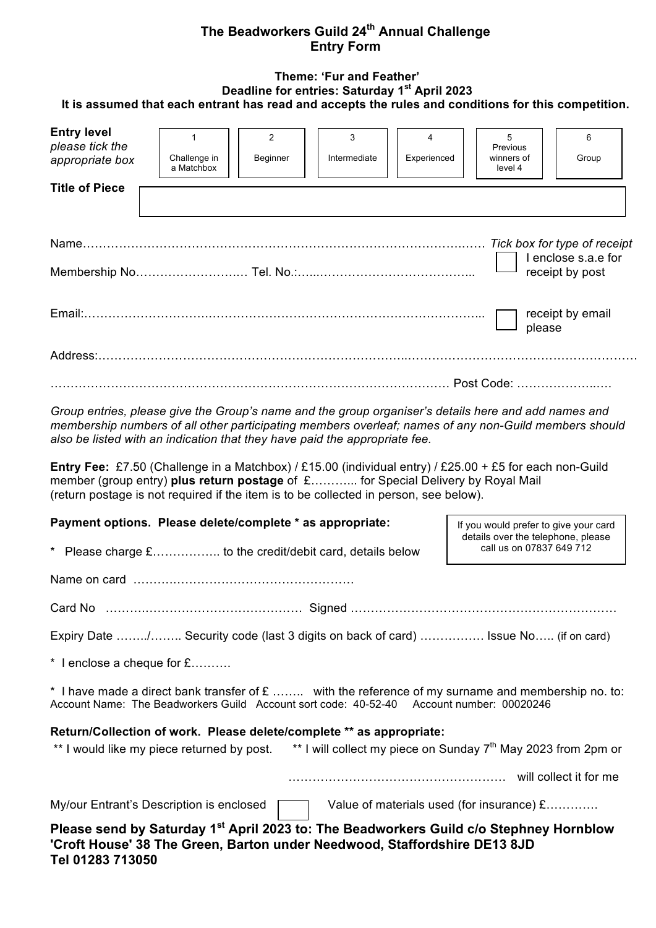## **The Beadworkers Guild 24th Annual Challenge Entry Form**

#### **Theme: 'Fur and Feather' Deadline for entries: Saturday 1st April 2023 It is assumed that each entrant has read and accepts the rules and conditions for this competition.**

| <b>Entry level</b><br>please tick the<br>appropriate box                                                             | 1<br>Challenge in<br>a Matchbox                                                                                                                                                                                                                                                                                                                                                                                                                                                                                                                                                     | 2<br>Beginner | 3<br>Intermediate | 4<br>Experienced | 5<br>Previous<br>winners of<br>level 4                                                                  | 6<br>Group          |
|----------------------------------------------------------------------------------------------------------------------|-------------------------------------------------------------------------------------------------------------------------------------------------------------------------------------------------------------------------------------------------------------------------------------------------------------------------------------------------------------------------------------------------------------------------------------------------------------------------------------------------------------------------------------------------------------------------------------|---------------|-------------------|------------------|---------------------------------------------------------------------------------------------------------|---------------------|
| <b>Title of Piece</b>                                                                                                |                                                                                                                                                                                                                                                                                                                                                                                                                                                                                                                                                                                     |               |                   |                  |                                                                                                         |                     |
|                                                                                                                      |                                                                                                                                                                                                                                                                                                                                                                                                                                                                                                                                                                                     |               |                   |                  |                                                                                                         | I enclose s.a.e for |
|                                                                                                                      |                                                                                                                                                                                                                                                                                                                                                                                                                                                                                                                                                                                     |               |                   |                  |                                                                                                         | receipt by post     |
|                                                                                                                      |                                                                                                                                                                                                                                                                                                                                                                                                                                                                                                                                                                                     |               |                   |                  | please                                                                                                  | receipt by email    |
|                                                                                                                      |                                                                                                                                                                                                                                                                                                                                                                                                                                                                                                                                                                                     |               |                   |                  |                                                                                                         |                     |
|                                                                                                                      |                                                                                                                                                                                                                                                                                                                                                                                                                                                                                                                                                                                     |               |                   |                  |                                                                                                         |                     |
|                                                                                                                      | Group entries, please give the Group's name and the group organiser's details here and add names and<br>membership numbers of all other participating members overleaf; names of any non-Guild members should<br>also be listed with an indication that they have paid the appropriate fee.<br>Entry Fee: £7.50 (Challenge in a Matchbox) / £15.00 (individual entry) / £25.00 + £5 for each non-Guild<br>member (group entry) plus return postage of £ for Special Delivery by Royal Mail<br>(return postage is not required if the item is to be collected in person, see below). |               |                   |                  |                                                                                                         |                     |
|                                                                                                                      |                                                                                                                                                                                                                                                                                                                                                                                                                                                                                                                                                                                     |               |                   |                  |                                                                                                         |                     |
| Payment options. Please delete/complete * as appropriate:                                                            |                                                                                                                                                                                                                                                                                                                                                                                                                                                                                                                                                                                     |               |                   |                  | If you would prefer to give your card<br>details over the telephone, please<br>call us on 07837 649 712 |                     |
|                                                                                                                      |                                                                                                                                                                                                                                                                                                                                                                                                                                                                                                                                                                                     |               |                   |                  |                                                                                                         |                     |
|                                                                                                                      |                                                                                                                                                                                                                                                                                                                                                                                                                                                                                                                                                                                     |               |                   |                  |                                                                                                         |                     |
|                                                                                                                      | Expiry Date / Security code (last 3 digits on back of card)  Issue No (if on card)                                                                                                                                                                                                                                                                                                                                                                                                                                                                                                  |               |                   |                  |                                                                                                         |                     |
| * I enclose a cheque for £                                                                                           |                                                                                                                                                                                                                                                                                                                                                                                                                                                                                                                                                                                     |               |                   |                  |                                                                                                         |                     |
|                                                                                                                      | * I have made a direct bank transfer of $E$ with the reference of my surname and membership no. to:<br>Account Name: The Beadworkers Guild Account sort code: 40-52-40 Account number: 00020246                                                                                                                                                                                                                                                                                                                                                                                     |               |                   |                  |                                                                                                         |                     |
|                                                                                                                      | Return/Collection of work. Please delete/complete ** as appropriate:                                                                                                                                                                                                                                                                                                                                                                                                                                                                                                                |               |                   |                  |                                                                                                         |                     |
| ** I would like my piece returned by post. ** I will collect my piece on Sunday 7 <sup>th</sup> May 2023 from 2pm or |                                                                                                                                                                                                                                                                                                                                                                                                                                                                                                                                                                                     |               |                   |                  |                                                                                                         |                     |
|                                                                                                                      |                                                                                                                                                                                                                                                                                                                                                                                                                                                                                                                                                                                     |               |                   |                  |                                                                                                         |                     |

My/our Entrant's Description is enclosed Value of materials used (for insurance) £…………

**Please send by Saturday 1st April 2023 to: The Beadworkers Guild c/o Stephney Hornblow 'Croft House' 38 The Green, Barton under Needwood, Staffordshire DE13 8JD Tel 01283 713050**